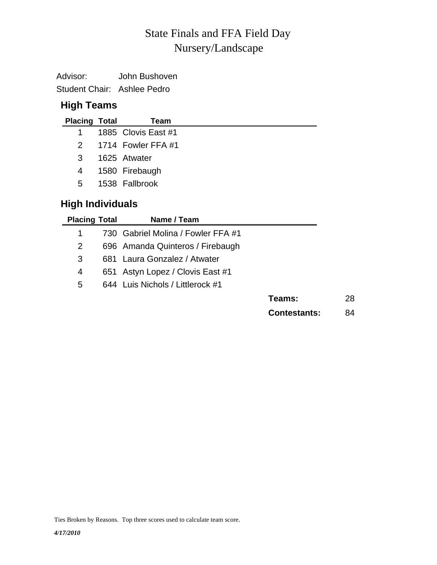# Nursery/Landscape State Finals and FFA Field Day

| Advisor:                    | John Bushoven |
|-----------------------------|---------------|
| Student Chair: Ashlee Pedro |               |

## **High Teams**

| <b>Placing Total</b> | Team                 |
|----------------------|----------------------|
| 1.                   | 1885 Clovis East #1  |
|                      | 2 1714 Fowler FFA #1 |
| 3                    | 1625 Atwater         |
| 4                    | 1580 Firebaugh       |
| 5.                   | 1538 Fallbrook       |
|                      |                      |

## **High Individuals**

| <b>Placing Total</b> |     | Name / Team                        |                     |    |
|----------------------|-----|------------------------------------|---------------------|----|
| 1                    |     | 730 Gabriel Molina / Fowler FFA #1 |                     |    |
| 2                    |     | 696 Amanda Quinteros / Firebaugh   |                     |    |
| 3                    |     | 681 Laura Gonzalez / Atwater       |                     |    |
| 4                    | 651 | Astyn Lopez / Clovis East #1       |                     |    |
| 5                    |     | 644 Luis Nichols / Littlerock #1   |                     |    |
|                      |     |                                    | Teams:              | 28 |
|                      |     |                                    | <b>Contestants:</b> | 84 |

Ties Broken by Reasons. Top three scores used to calculate team score.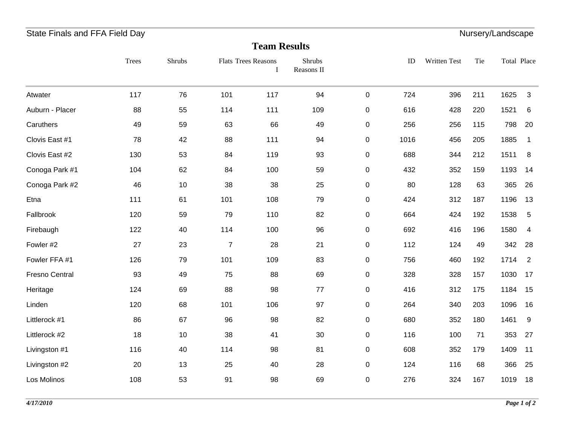## State Finals and FFA Field Day **Nursery/Landscape** State Finals and FFA Field Day

#### **Team Results**

| 117<br>Atwater              | 76<br>55 | 101            | 117 | 94  |           |      |     |     |      |                |
|-----------------------------|----------|----------------|-----|-----|-----------|------|-----|-----|------|----------------|
|                             |          |                |     |     | $\pmb{0}$ | 724  | 396 | 211 | 1625 | 3              |
| Auburn - Placer<br>88       |          | 114            | 111 | 109 | $\pmb{0}$ | 616  | 428 | 220 | 1521 | $\,6$          |
| Caruthers<br>49             | 59       | 63             | 66  | 49  | 0         | 256  | 256 | 115 | 798  | 20             |
| Clovis East #1<br>78        | 42       | 88             | 111 | 94  | 0         | 1016 | 456 | 205 | 1885 | $\mathbf 1$    |
| Clovis East #2<br>130       | 53       | 84             | 119 | 93  | 0         | 688  | 344 | 212 | 1511 | 8              |
| Conoga Park #1<br>104       | 62       | 84             | 100 | 59  | 0         | 432  | 352 | 159 | 1193 | 14             |
| Conoga Park #2<br>46        | 10       | 38             | 38  | 25  | $\pmb{0}$ | 80   | 128 | 63  | 365  | 26             |
| Etna<br>111                 | 61       | 101            | 108 | 79  | 0         | 424  | 312 | 187 | 1196 | 13             |
| Fallbrook<br>120            | 59       | 79             | 110 | 82  | $\pmb{0}$ | 664  | 424 | 192 | 1538 | $\sqrt{5}$     |
| Firebaugh<br>122            | 40       | 114            | 100 | 96  | $\pmb{0}$ | 692  | 416 | 196 | 1580 | 4              |
| Fowler #2<br>27             | 23       | $\overline{7}$ | 28  | 21  | 0         | 112  | 124 | 49  | 342  | 28             |
| Fowler FFA #1<br>126        | 79       | 101            | 109 | 83  | 0         | 756  | 460 | 192 | 1714 | $\overline{2}$ |
| <b>Fresno Central</b><br>93 | 49       | 75             | 88  | 69  | $\pmb{0}$ | 328  | 328 | 157 | 1030 | 17             |
| Heritage<br>124             | 69       | 88             | 98  | 77  | 0         | 416  | 312 | 175 | 1184 | 15             |
| Linden<br>120               | 68       | 101            | 106 | 97  | 0         | 264  | 340 | 203 | 1096 | 16             |
| Littlerock #1<br>86         | 67       | 96             | 98  | 82  | $\pmb{0}$ | 680  | 352 | 180 | 1461 | 9              |
| 18<br>Littlerock #2         | 10       | 38             | 41  | 30  | 0         | 116  | 100 | 71  | 353  | 27             |
| 116<br>Livingston #1        | 40       | 114            | 98  | 81  | 0         | 608  | 352 | 179 | 1409 | 11             |
| Livingston #2<br>20         | 13       | 25             | 40  | 28  | 0         | 124  | 116 | 68  | 366  | 25             |
| Los Molinos<br>108          | 53       | 91             | 98  | 69  | $\pmb{0}$ | 276  | 324 | 167 | 1019 | 18             |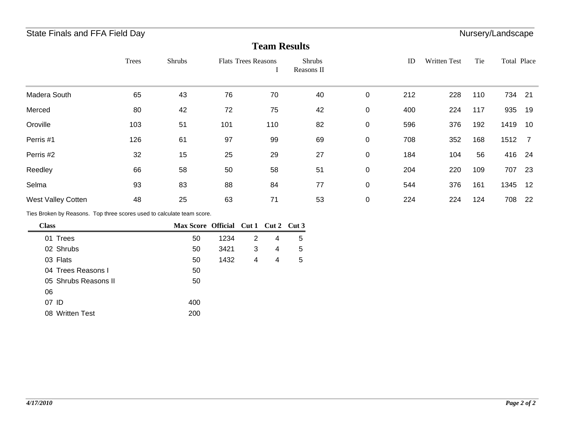## State Finals and FFA Field Day **Nursery/Landscape** State Finals and FFA Field Day

#### **Team Results**

|                           | Trees | <b>Shrubs</b> | <b>Flats Trees Reasons</b> |     | <b>Shrubs</b><br>Reasons II |             | ID  | Written Test | Tie | Total Place |      |
|---------------------------|-------|---------------|----------------------------|-----|-----------------------------|-------------|-----|--------------|-----|-------------|------|
| Madera South              | 65    | 43            | 76                         | 70  | 40                          | $\mathbf 0$ | 212 | 228          | 110 | 734         | 21   |
| Merced                    | 80    | 42            | 72                         | 75  | 42                          | 0           | 400 | 224          | 117 | 935         | 19   |
| Oroville                  | 103   | 51            | 101                        | 110 | 82                          | 0           | 596 | 376          | 192 | 1419        | 10   |
| Perris #1                 | 126   | 61            | 97                         | 99  | 69                          | $\pmb{0}$   | 708 | 352          | 168 | 1512        | - 7  |
| Perris #2                 | 32    | 15            | 25                         | 29  | 27                          | 0           | 184 | 104          | 56  | 416         | - 24 |
| Reedley                   | 66    | 58            | 50                         | 58  | 51                          | $\pmb{0}$   | 204 | 220          | 109 | 707         | 23   |
| Selma                     | 93    | 83            | 88                         | 84  | 77                          | 0           | 544 | 376          | 161 | 1345        | -12  |
| <b>West Valley Cotten</b> | 48    | 25            | 63                         | 71  | 53                          | $\mathbf 0$ | 224 | 224          | 124 | 708         | 22   |

Ties Broken by Reasons. Top three scores used to calculate team score.

| <b>Class</b> |                      | Max Score Official Cut 1 Cut 2 Cut 3 |      |   |   |   |
|--------------|----------------------|--------------------------------------|------|---|---|---|
| 01           | Trees                | 50                                   | 1234 | 2 | 4 | 5 |
|              | 02 Shrubs            | 50                                   | 3421 | 3 | 4 | 5 |
|              | 03 Flats             | 50                                   | 1432 | 4 | 4 | 5 |
|              | 04 Trees Reasons I   | 50                                   |      |   |   |   |
|              | 05 Shrubs Reasons II | 50                                   |      |   |   |   |
| 06           |                      |                                      |      |   |   |   |
| 07 ID        |                      | 400                                  |      |   |   |   |
|              | 08 Written Test      | 200                                  |      |   |   |   |
|              |                      |                                      |      |   |   |   |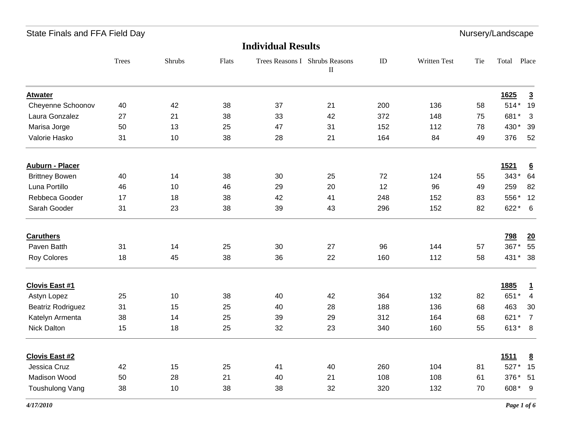## State Finals and FFA Field Day **Nursery**/Landscape and The United State State State State State State State State State State State State State State State State State State State State State State State State State State

### **Individual Results**

|                          | <b>Trees</b> | Shrubs | Flats |    | Trees Reasons I Shrubs Reasons<br>$\rm II$ | ID  | Written Test | Tie | Total       | Place           |
|--------------------------|--------------|--------|-------|----|--------------------------------------------|-----|--------------|-----|-------------|-----------------|
| <b>Atwater</b>           |              |        |       |    |                                            |     |              |     | 1625        | $\overline{3}$  |
| Cheyenne Schoonov        | 40           | 42     | 38    | 37 | 21                                         | 200 | 136          | 58  | 514* 19     |                 |
| Laura Gonzalez           | 27           | 21     | 38    | 33 | 42                                         | 372 | 148          | 75  | 681*        | 3               |
| Marisa Jorge             | 50           | 13     | 25    | 47 | 31                                         | 152 | 112          | 78  | 430*        | 39              |
| Valorie Hasko            | 31           | 10     | 38    | 28 | 21                                         | 164 | 84           | 49  | 376         | 52              |
| <b>Auburn - Placer</b>   |              |        |       |    |                                            |     |              |     | <u>1521</u> | $\underline{6}$ |
| <b>Brittney Bowen</b>    | 40           | 14     | 38    | 30 | 25                                         | 72  | 124          | 55  | 343*        | 64              |
| Luna Portillo            | 46           | 10     | 46    | 29 | 20                                         | 12  | 96           | 49  | 259         | 82              |
| Rebbeca Gooder           | 17           | 18     | 38    | 42 | 41                                         | 248 | 152          | 83  | 556*        | 12              |
| Sarah Gooder             | 31           | 23     | 38    | 39 | 43                                         | 296 | 152          | 82  | $622 * 6$   |                 |
| <b>Caruthers</b>         |              |        |       |    |                                            |     |              |     | <b>798</b>  | 20              |
| Paven Batth              | 31           | 14     | 25    | 30 | 27                                         | 96  | 144          | 57  | 367*        | 55              |
| <b>Roy Colores</b>       | 18           | 45     | 38    | 36 | 22                                         | 160 | 112          | 58  | 431* 38     |                 |
| <b>Clovis East #1</b>    |              |        |       |    |                                            |     |              |     | 1885        | $\overline{1}$  |
| Astyn Lopez              | 25           | 10     | 38    | 40 | 42                                         | 364 | 132          | 82  | 651*        | $\overline{4}$  |
| <b>Beatriz Rodriguez</b> | 31           | 15     | 25    | 40 | 28                                         | 188 | 136          | 68  | 463         | 30              |
| Katelyn Armenta          | 38           | 14     | 25    | 39 | 29                                         | 312 | 164          | 68  | 621*        | $\overline{7}$  |
| Nick Dalton              | 15           | 18     | 25    | 32 | 23                                         | 340 | 160          | 55  | $613*8$     |                 |
| <b>Clovis East #2</b>    |              |        |       |    |                                            |     |              |     | <b>1511</b> | $\underline{8}$ |
| Jessica Cruz             | 42           | 15     | 25    | 41 | 40                                         | 260 | 104          | 81  | 527*        | 15              |
| Madison Wood             | 50           | 28     | 21    | 40 | 21                                         | 108 | 108          | 61  | 376* 51     |                 |
| <b>Toushulong Vang</b>   | 38           | 10     | 38    | 38 | 32                                         | 320 | 132          | 70  | 608*        | - 9             |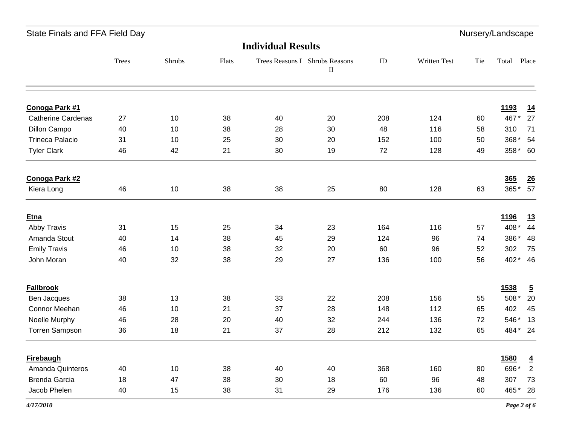State Finals and FFA Field Day **Nursery**/Landscape and The United State State State State State State State State State State State State State State State State State State State State State State State State State State

#### **Individual Results**

|                           | Trees | Shrubs | Flats |    | Trees Reasons I Shrubs Reasons<br>$\rm II$ | $\rm ID$ | Written Test | Tie | Total       | Place          |
|---------------------------|-------|--------|-------|----|--------------------------------------------|----------|--------------|-----|-------------|----------------|
| Conoga Park #1            |       |        |       |    |                                            |          |              |     | <u>1193</u> | 14             |
| <b>Catherine Cardenas</b> | 27    | 10     | 38    | 40 | 20                                         | 208      | 124          | 60  | 467*        | 27             |
| Dillon Campo              | 40    | 10     | 38    | 28 | 30                                         | 48       | 116          | 58  | 310         | 71             |
| <b>Trineca Palacio</b>    | 31    | 10     | 25    | 30 | 20                                         | 152      | 100          | 50  |             | 368* 54        |
| <b>Tyler Clark</b>        | 46    | 42     | 21    | 30 | 19                                         | 72       | 128          | 49  |             | 358* 60        |
| Conoga Park #2            |       |        |       |    |                                            |          |              |     | 365         | $\frac{26}{5}$ |
| Kiera Long                | 46    | 10     | 38    | 38 | 25                                         | 80       | 128          | 63  | 365*        | 57             |
| <b>Etna</b>               |       |        |       |    |                                            |          |              |     | 1196        | <u>13</u>      |
| Abby Travis               | 31    | 15     | 25    | 34 | 23                                         | 164      | 116          | 57  | 408*        | 44             |
| Amanda Stout              | 40    | 14     | 38    | 45 | 29                                         | 124      | 96           | 74  | 386*        | 48             |
| <b>Emily Travis</b>       | 46    | 10     | 38    | 32 | 20                                         | 60       | 96           | 52  | 302         | 75             |
| John Moran                | 40    | 32     | 38    | 29 | 27                                         | 136      | 100          | 56  |             | 402* 46        |
| <b>Fallbrook</b>          |       |        |       |    |                                            |          |              |     | 1538        | $\overline{5}$ |
| Ben Jacques               | 38    | 13     | 38    | 33 | 22                                         | 208      | 156          | 55  | 508*        | 20             |
| Connor Meehan             | 46    | 10     | 21    | 37 | 28                                         | 148      | 112          | 65  | 402         | 45             |
| Noelle Murphy             | 46    | 28     | 20    | 40 | 32                                         | 244      | 136          | 72  |             | 546* 13        |
| Torren Sampson            | 36    | 18     | 21    | 37 | 28                                         | 212      | 132          | 65  |             | 484* 24        |
| Firebaugh                 |       |        |       |    |                                            |          |              |     | 1580        | $\overline{4}$ |
| Amanda Quinteros          | 40    | 10     | 38    | 40 | 40                                         | 368      | 160          | 80  | 696*        | $\overline{2}$ |
| <b>Brenda Garcia</b>      | 18    | 47     | 38    | 30 | 18                                         | 60       | 96           | 48  | 307         | 73             |
| Jacob Phelen              | 40    | 15     | 38    | 31 | 29                                         | 176      | 136          | 60  |             | 465* 28        |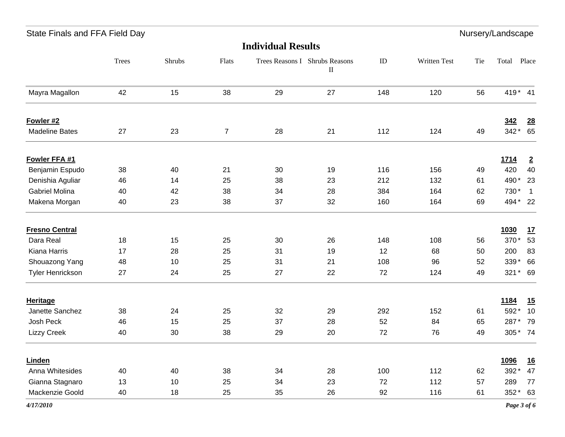|  | State Finals and FFA Field Day |  |  |  |  |
|--|--------------------------------|--|--|--|--|
|--|--------------------------------|--|--|--|--|

 $\mathsf{S}(\mathsf{S})$  and  $\mathsf{S}(\mathsf{S})$  for  $\mathsf{S}(\mathsf{S})$  for  $\mathsf{S}(\mathsf{S})$  for  $\mathsf{S}(\mathsf{S})$  for  $\mathsf{S}(\mathsf{S})$  for  $\mathsf{S}(\mathsf{S})$  for  $\mathsf{S}(\mathsf{S})$  for  $\mathsf{S}(\mathsf{S})$  for  $\mathsf{S}(\mathsf{S})$  for  $\mathsf{S}(\mathsf{S})$  for  $\mathsf{S}(\mathsf{S$ 

|                       | Trees | Shrubs | Flats          |    | Trees Reasons I Shrubs Reasons<br>$\rm II$ | ${\rm ID}$ | Written Test | Tie | Total   | Place            |
|-----------------------|-------|--------|----------------|----|--------------------------------------------|------------|--------------|-----|---------|------------------|
| Mayra Magallon        | 42    | 15     | 38             | 29 | 27                                         | 148        | 120          | 56  | 419* 41 |                  |
| Fowler #2             |       |        |                |    |                                            |            |              |     | 342     | $\underline{28}$ |
| <b>Madeline Bates</b> | 27    | 23     | $\overline{7}$ | 28 | 21                                         | 112        | 124          | 49  | 342*    | 65               |
| Fowler FFA #1         |       |        |                |    |                                            |            |              |     | 1714    | $\overline{2}$   |
| Benjamin Espudo       | 38    | 40     | 21             | 30 | 19                                         | 116        | 156          | 49  | 420     | 40               |
| Denishia Aguliar      | 46    | 14     | 25             | 38 | 23                                         | 212        | 132          | 61  | 490*    | 23               |
| <b>Gabriel Molina</b> | 40    | 42     | 38             | 34 | 28                                         | 384        | 164          | 62  | 730*    | $\overline{1}$   |
| Makena Morgan         | 40    | 23     | 38             | 37 | 32                                         | 160        | 164          | 69  | 494* 22 |                  |
| <b>Fresno Central</b> |       |        |                |    |                                            |            |              |     | 1030    | 17               |
| Dara Real             | 18    | 15     | 25             | 30 | 26                                         | 148        | 108          | 56  | 370*    | 53               |
| Kiana Harris          | 17    | 28     | 25             | 31 | 19                                         | 12         | 68           | 50  | 200     | 83               |
| Shouazong Yang        | 48    | 10     | 25             | 31 | 21                                         | 108        | 96           | 52  | 339*    | 66               |
| Tyler Henrickson      | 27    | 24     | 25             | 27 | 22                                         | 72         | 124          | 49  | $321*$  | 69               |
| <b>Heritage</b>       |       |        |                |    |                                            |            |              |     | 1184    | 15               |
| Janette Sanchez       | 38    | 24     | 25             | 32 | 29                                         | 292        | 152          | 61  | 592*    | 10               |
| Josh Peck             | 46    | 15     | 25             | 37 | 28                                         | 52         | 84           | 65  | 287*    | 79               |
| <b>Lizzy Creek</b>    | 40    | 30     | 38             | 29 | 20                                         | 72         | 76           | 49  |         | 305* 74          |
| Linden                |       |        |                |    |                                            |            |              |     | 1096    | 16               |
| Anna Whitesides       | 40    | 40     | 38             | 34 | 28                                         | 100        | 112          | 62  | 392*    | 47               |
| Gianna Stagnaro       | 13    | 10     | 25             | 34 | 23                                         | 72         | 112          | 57  | 289     | 77               |
| Mackenzie Goold       | 40    | 18     | 25             | 35 | 26                                         | 92         | 116          | 61  | 352*    | 63               |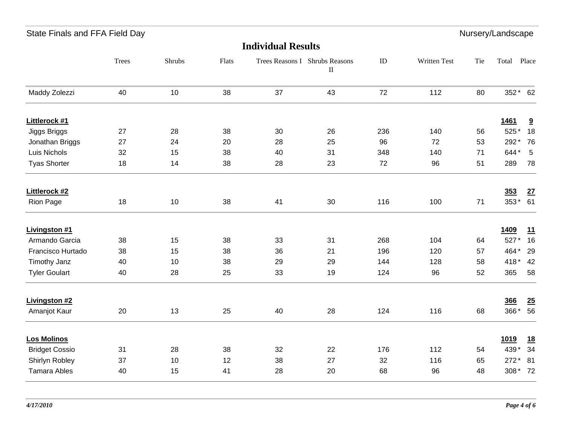|  | State Finals and FFA Field Day |  |  |  |  |
|--|--------------------------------|--|--|--|--|
|--|--------------------------------|--|--|--|--|

Nursery/Landscape

|                       | Trees | Shrubs | Flats |    | Trees Reasons I Shrubs Reasons<br>$\rm II$ | ${\rm ID}$ | Written Test | Tie | Total       | Place                   |
|-----------------------|-------|--------|-------|----|--------------------------------------------|------------|--------------|-----|-------------|-------------------------|
| Maddy Zolezzi         | 40    | 10     | 38    | 37 | 43                                         | 72         | 112          | 80  | 352* 62     |                         |
| Littlerock #1         |       |        |       |    |                                            |            |              |     | <b>1461</b> | $\overline{\mathbf{a}}$ |
| Jiggs Briggs          | 27    | 28     | 38    | 30 | 26                                         | 236        | 140          | 56  | 525*        | 18                      |
| Jonathan Briggs       | 27    | 24     | 20    | 28 | 25                                         | 96         | 72           | 53  | 292*        | 76                      |
| Luis Nichols          | 32    | 15     | 38    | 40 | 31                                         | 348        | 140          | 71  | 644*        | 5                       |
| <b>Tyas Shorter</b>   | 18    | 14     | 38    | 28 | 23                                         | 72         | 96           | 51  | 289         | 78                      |
| Littlerock #2         |       |        |       |    |                                            |            |              |     | 353         | 27                      |
| Rion Page             | 18    | 10     | 38    | 41 | 30                                         | 116        | 100          | 71  | $353*$      | 61                      |
| <b>Livingston #1</b>  |       |        |       |    |                                            |            |              |     | 1409        | 11                      |
| Armando Garcia        | 38    | 15     | 38    | 33 | 31                                         | 268        | 104          | 64  | 527*        | 16                      |
| Francisco Hurtado     | 38    | 15     | 38    | 36 | 21                                         | 196        | 120          | 57  | 464*        | 29                      |
| Timothy Janz          | 40    | 10     | 38    | 29 | 29                                         | 144        | 128          | 58  | 418*        | 42                      |
| <b>Tyler Goulart</b>  | 40    | 28     | 25    | 33 | 19                                         | 124        | 96           | 52  | 365         | 58                      |
| <b>Livingston #2</b>  |       |        |       |    |                                            |            |              |     | 366         | 25                      |
| Amanjot Kaur          | 20    | 13     | 25    | 40 | 28                                         | 124        | 116          | 68  | 366*        | 56                      |
| <b>Los Molinos</b>    |       |        |       |    |                                            |            |              |     | <u>1019</u> | <u>18</u>               |
| <b>Bridget Cossio</b> | 31    | 28     | 38    | 32 | 22                                         | 176        | 112          | 54  | 439*        | 34                      |
| Shirlyn Robley        | 37    | 10     | 12    | 38 | 27                                         | 32         | 116          | 65  | $272*$      | 81                      |
| <b>Tamara Ables</b>   | 40    | 15     | 41    | 28 | 20                                         | 68         | 96           | 48  | 308*72      |                         |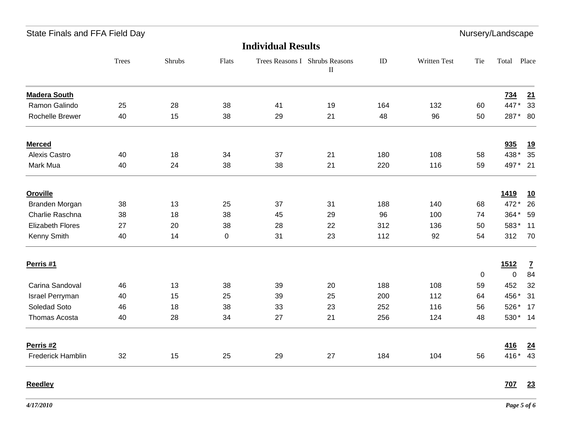|  | State Finals and FFA Field Day |  |  |  |  |
|--|--------------------------------|--|--|--|--|
|--|--------------------------------|--|--|--|--|

Nursery/Landscape

### **Individual Results**

|                         | <b>Trees</b> | Shrubs | Flats       |    | Trees Reasons I Shrubs Reasons<br>$\mathbf{I}$ | ID  | Written Test | Tie | Total       | Place           |
|-------------------------|--------------|--------|-------------|----|------------------------------------------------|-----|--------------|-----|-------------|-----------------|
| <b>Madera South</b>     |              |        |             |    |                                                |     |              |     | <u>734</u>  | 21              |
| Ramon Galindo           | 25           | 28     | 38          | 41 | 19                                             | 164 | 132          | 60  | 447*        | 33              |
| Rochelle Brewer         | 40           | 15     | 38          | 29 | 21                                             | 48  | 96           | 50  | 287* 80     |                 |
| <b>Merced</b>           |              |        |             |    |                                                |     |              |     | 935         | <u>19</u>       |
| Alexis Castro           | 40           | 18     | 34          | 37 | 21                                             | 180 | 108          | 58  | 438*        | 35              |
| Mark Mua                | 40           | 24     | 38          | 38 | 21                                             | 220 | 116          | 59  | 497* 21     |                 |
| <b>Oroville</b>         |              |        |             |    |                                                |     |              |     | <u>1419</u> | <u>10</u>       |
| Branden Morgan          | 38           | 13     | 25          | 37 | 31                                             | 188 | 140          | 68  | 472*        | 26              |
| Charlie Raschna         | 38           | 18     | 38          | 45 | 29                                             | 96  | 100          | 74  | 364*        | 59              |
| <b>Elizabeth Flores</b> | 27           | 20     | 38          | 28 | 22                                             | 312 | 136          | 50  | 583*        | 11              |
| Kenny Smith             | 40           | 14     | $\mathbf 0$ | 31 | 23                                             | 112 | 92           | 54  | 312         | 70              |
| Perris #1               |              |        |             |    |                                                |     |              |     | 1512        | $\mathbf{Z}$    |
|                         |              |        |             |    |                                                |     |              | 0   | $\mathbf 0$ | 84              |
| Carina Sandoval         | 46           | 13     | 38          | 39 | 20                                             | 188 | 108          | 59  | 452         | 32              |
| Israel Perryman         | 40           | 15     | 25          | 39 | 25                                             | 200 | 112          | 64  | 456*        | 31              |
| Soledad Soto            | 46           | 18     | 38          | 33 | 23                                             | 252 | 116          | 56  | 526* 17     |                 |
| Thomas Acosta           | 40           | 28     | 34          | 27 | 21                                             | 256 | 124          | 48  | 530* 14     |                 |
| Perris <sub>#2</sub>    |              |        |             |    |                                                |     |              |     | <u>416</u>  | $\overline{24}$ |
| Frederick Hamblin       | 32           | 15     | 25          | 29 | 27                                             | 184 | 104          | 56  | 416*        | 43              |

**Reedley 707 23**